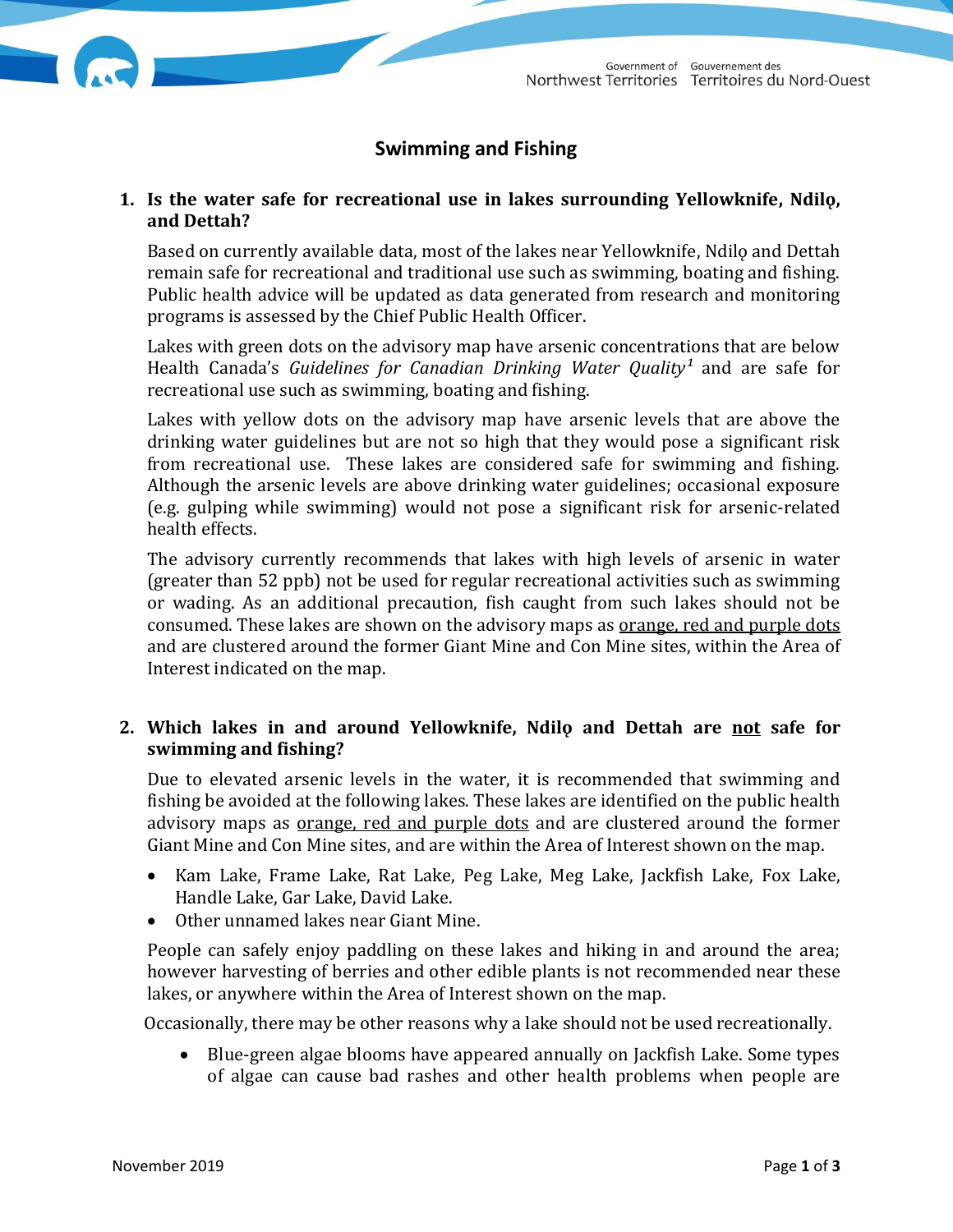# **Swimming and Fishing**

### **1. Is the water safe for recreational use in lakes surrounding Yellowknife, Ndilǫ, and Dettah?**

Based on currently available data, most of the lakes near Yellowknife, Ndilo and Dettah remain safe for recreational and traditional use such as swimming, boating and fishing. Public health advice will be updated as data generated from research and monitoring programs is assessed by the Chief Public Health Officer.

Lakes with green dots on the advisory map have arsenic concentrations that are below Health Canada's *Guidelines for Canadian Drinking Water Quality*<sup>1</sup> and are safe for recreational use such as swimming, boating and fishing.

Lakes with yellow dots on the advisory map have arsenic levels that are above the drinking water guidelines but are not so high that they would pose a significant risk from recreational use. These lakes are considered safe for swimming and fishing. Although the arsenic levels are above drinking water guidelines; occasional exposure (e.g. gulping while swimming) would not pose a significant risk for arsenic-related health effects.

The advisory currently recommends that lakes with high levels of arsenic in water (greater than 52 ppb) not be used for regular recreational activities such as swimming or wading. As an additional precaution, fish caught from such lakes should not be consumed. These lakes are shown on the advisory maps as orange, red and purple dots and are clustered around the former Giant Mine and Con Mine sites, within the Area of Interest indicated on the map.

# **2. Which lakes in and around Yellowknife, Ndilǫ and Dettah are not safe for swimming and fishing?**

Due to elevated arsenic levels in the water, it is recommended that swimming and fishing be avoided at the following lakes. These lakes are identified on the public health advisory maps as orange, red and purple dots and are clustered around the former Giant Mine and Con Mine sites, and are within the Area of Interest shown on the map.

- Kam Lake, Frame Lake, Rat Lake, Peg Lake, Meg Lake, Jackfish Lake, Fox Lake, Handle Lake, Gar Lake, David Lake.
- Other unnamed lakes near Giant Mine.

People can safely enjoy paddling on these lakes and hiking in and around the area; however harvesting of berries and other edible plants is not recommended near these lakes, or anywhere within the Area of Interest shown on the map.

Occasionally, there may be other reasons why a lake should not be used recreationally.

 Blue-green algae blooms have appeared annually on Jackfish Lake. Some types of algae can cause bad rashes and other health problems when people are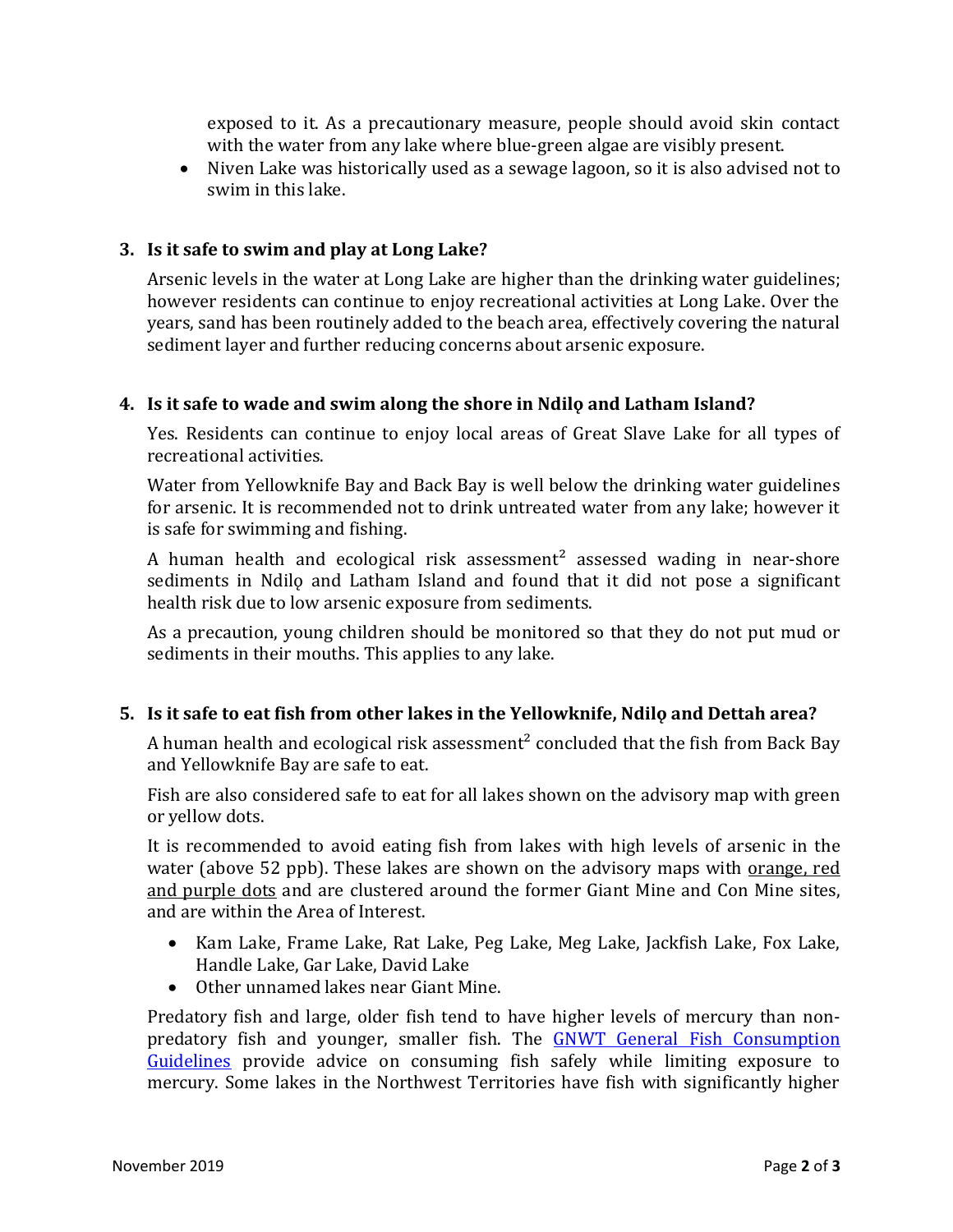exposed to it. As a precautionary measure, people should avoid skin contact with the water from any lake where blue-green algae are visibly present.

 Niven Lake was historically used as a sewage lagoon, so it is also advised not to swim in this lake.

# **3. Is it safe to swim and play at Long Lake?**

Arsenic levels in the water at Long Lake are higher than the drinking water guidelines; however residents can continue to enjoy recreational activities at Long Lake. Over the years, sand has been routinely added to the beach area, effectively covering the natural sediment layer and further reducing concerns about arsenic exposure.

### **4. Is it safe to wade and swim along the shore in Ndilǫ and Latham Island?**

Yes. Residents can continue to enjoy local areas of Great Slave Lake for all types of recreational activities.

Water from Yellowknife Bay and Back Bay is well below the drinking water guidelines for arsenic. It is recommended not to drink untreated water from any lake; however it is safe for swimming and fishing.

A human health and ecological risk assessment<sup>2</sup> assessed wading in near-shore sediments in Ndilo and Latham Island and found that it did not pose a significant health risk due to low arsenic exposure from sediments.

As a precaution, young children should be monitored so that they do not put mud or sediments in their mouths. This applies to any lake.

# **5. Is it safe to eat fish from other lakes in the Yellowknife, Ndilǫ and Dettah area?**

A human health and ecological risk assessment² concluded that the fish from Back Bay and Yellowknife Bay are safe to eat.

Fish are also considered safe to eat for all lakes shown on the advisory map with green or yellow dots.

It is recommended to avoid eating fish from lakes with high levels of arsenic in the water (above 52 ppb). These lakes are shown on the advisory maps with <u>orange</u>, red and purple dots and are clustered around the former Giant Mine and Con Mine sites, and are within the Area of Interest.

- Kam Lake, Frame Lake, Rat Lake, Peg Lake, Meg Lake, Jackfish Lake, Fox Lake, Handle Lake, Gar Lake, David Lake
- Other unnamed lakes near Giant Mine.

Predatory fish and large, older fish tend to have higher levels of mercury than nonpredatory fish and younger, smaller fish. The [GNWT General Fish Consumption](https://www.hss.gov.nt.ca/sites/hss/files/general-fish-consumption-guidelines-nwt.pdf)  [Guidelines](https://www.hss.gov.nt.ca/sites/hss/files/general-fish-consumption-guidelines-nwt.pdf) provide advice on consuming fish safely while limiting exposure to mercury. Some lakes in the Northwest Territories have fish with significantly higher